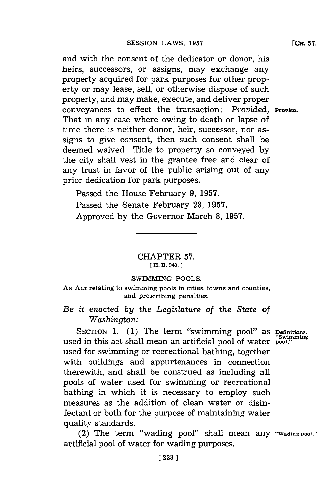and with the consent of the dedicator or donor, his heirs, successors, or assigns, may exchange any property acquired for park purposes for other property or may lease, sell, or otherwise dispose of such property, and may make, execute, and deliver proper conveyances to effect the transaction: *Provided*, **Proviso.** That in any case where owing to death or lapse of time there is neither donor, heir, successor, nor assigns to give consent, then such consent shall be deemed waived. Title to property so conveyed **by** the city shall vest in the grantee free and clear of any trust in favor of the public arising out of any prior dedication for park purposes.

Passed the House February **9, 1957.** Passed the Senate February **28, 1957.** Approved **by** the Governor March **8, 1957.**

> CHAPTER **57. EH. B. 340.]1**

## SWIMMING **POOLS.**

**AN ACT** relating to swimming pools in cities, towns and counties, and prescribing penalties.

*Be it enacted by the Legislature of the State of Washington:*

SECTION 1. (1) The term "swimming pool" as **Definitions**. **"Swimming** used in this act shall mean an artificial pool of water **pool."** used for swimming or recreational bathing, together with buildings and appurtenances in connection therewith, and shall be construed as including all pools of water used for swimming or recreational bathing in which it is necessary to employ such measures as the addition of clean water or disinfectant or both for the purpose of maintaining water quality standards.

(2) The term "wading pool" shall mean any **'wading pool.'** artificial pool of water for wading purposes.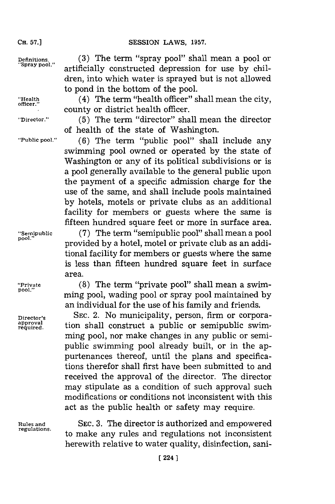## **SESSION LAWS, 1957.**

**Definitions. (3)** The term "spray pool" shall mean a pool or **"Spray pool.** artificially constructed depression for use **by** children, into which water is sprayed but is not allowed to pond in the bottom of the pool.

"Health **(4)** The term "health officer" shall mean the city, county or district health officer.

**"Director." (5)** The term "director" shall mean the director of health of the state of Washington.

**"Public pool." (6)** The term "public pool" shall include any swimming pool owned or operated **by** the state of Washington or any of its political subdivisions or is a pool generally available to the general public upon the payment of a specific admission charge for the use of the same, and shall include pools maintained **by** hotels, motels or private clubs as an additional facility for members or guests where the same is fifteen hundred square feet or more in surface area.

**"Semipublic (7)** The term "semipublic pool" shall mean a pool **Pool."** provided **by** a hotel, motel or private club as an additional facility for members or guests where the same is less than fifteen hundred square feet in surface area.

**"Private (8)** The term "private pool" shall mean a swim**pool."** ming pool, wading pooi or spray pool maintained **by** an individual for the use of his family and friends.

Director's SEC. 2. No municipality, person, firm or corpora-<br>
required. tion shall construct a public or semipublic swimtion shall construct a public or semipublic swimming pool, nor make changes in any public or semipublic swimming pooi already built, or in the appurtenances thereof, until the plans and specifications therefor shall first have been submitted to and received the approval of the director. The director may stipulate as a condition of such approval such modifications or conditions not inconsistent with this act as the public health or safety may require.

**Rules and SEC. 3.** The director is authorized and empowered **regulations,** to make any rules and regulations not inconsistent herewith relative to water quality, disinfection, sani-

**CH. 57.1**